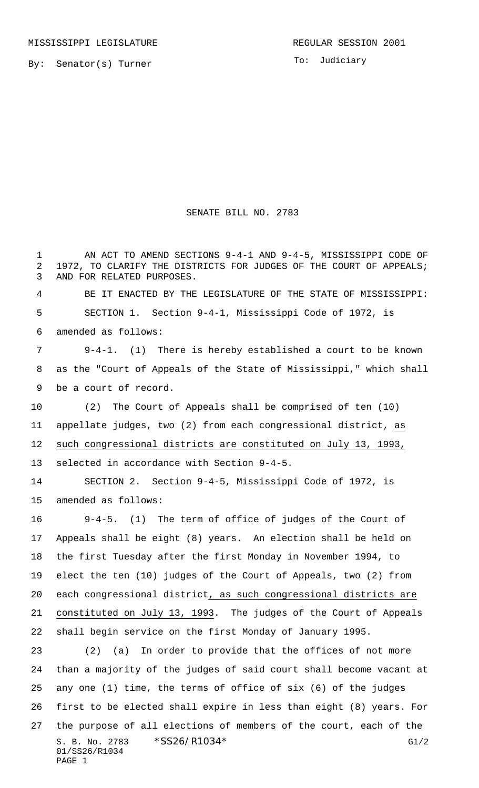To: Judiciary

## SENATE BILL NO. 2783

1 AN ACT TO AMEND SECTIONS 9-4-1 AND 9-4-5, MISSISSIPPI CODE OF 2 1972, TO CLARIFY THE DISTRICTS FOR JUDGES OF THE COURT OF APPEALS; AND FOR RELATED PURPOSES.

 BE IT ENACTED BY THE LEGISLATURE OF THE STATE OF MISSISSIPPI: SECTION 1. Section 9-4-1, Mississippi Code of 1972, is amended as follows:

 9-4-1. (1) There is hereby established a court to be known as the "Court of Appeals of the State of Mississippi," which shall be a court of record.

 (2) The Court of Appeals shall be comprised of ten (10) appellate judges, two (2) from each congressional district, as such congressional districts are constituted on July 13, 1993, selected in accordance with Section 9-4-5.

 SECTION 2. Section 9-4-5, Mississippi Code of 1972, is amended as follows:

 9-4-5. (1) The term of office of judges of the Court of Appeals shall be eight (8) years. An election shall be held on the first Tuesday after the first Monday in November 1994, to elect the ten (10) judges of the Court of Appeals, two (2) from each congressional district, as such congressional districts are constituted on July 13, 1993. The judges of the Court of Appeals shall begin service on the first Monday of January 1995.

S. B. No. 2783 \* SS26/R1034\* G1/2 01/SS26/R1034 PAGE 1 (2) (a) In order to provide that the offices of not more than a majority of the judges of said court shall become vacant at any one (1) time, the terms of office of six (6) of the judges first to be elected shall expire in less than eight (8) years. For the purpose of all elections of members of the court, each of the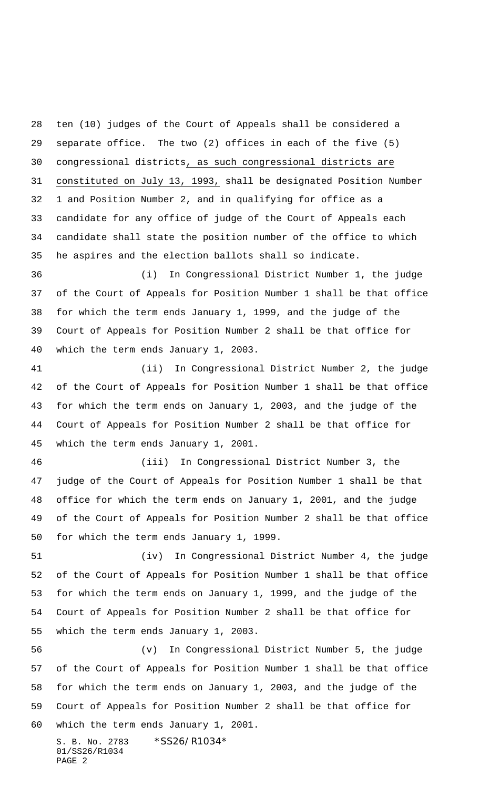ten (10) judges of the Court of Appeals shall be considered a separate office. The two (2) offices in each of the five (5) congressional districts, as such congressional districts are constituted on July 13, 1993, shall be designated Position Number 1 and Position Number 2, and in qualifying for office as a candidate for any office of judge of the Court of Appeals each candidate shall state the position number of the office to which he aspires and the election ballots shall so indicate.

 (i) In Congressional District Number 1, the judge of the Court of Appeals for Position Number 1 shall be that office for which the term ends January 1, 1999, and the judge of the Court of Appeals for Position Number 2 shall be that office for which the term ends January 1, 2003.

 (ii) In Congressional District Number 2, the judge of the Court of Appeals for Position Number 1 shall be that office for which the term ends on January 1, 2003, and the judge of the Court of Appeals for Position Number 2 shall be that office for which the term ends January 1, 2001.

 (iii) In Congressional District Number 3, the judge of the Court of Appeals for Position Number 1 shall be that office for which the term ends on January 1, 2001, and the judge of the Court of Appeals for Position Number 2 shall be that office for which the term ends January 1, 1999.

 (iv) In Congressional District Number 4, the judge of the Court of Appeals for Position Number 1 shall be that office for which the term ends on January 1, 1999, and the judge of the Court of Appeals for Position Number 2 shall be that office for which the term ends January 1, 2003.

 (v) In Congressional District Number 5, the judge of the Court of Appeals for Position Number 1 shall be that office for which the term ends on January 1, 2003, and the judge of the Court of Appeals for Position Number 2 shall be that office for which the term ends January 1, 2001.

S. B. No. 2783 \*SS26/R1034\* 01/SS26/R1034 PAGE 2